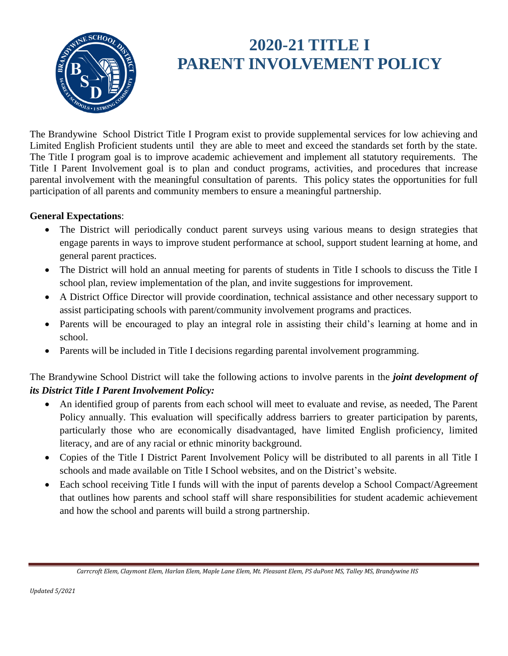

# **2020-21 TITLE I PARENT INVOLVEMENT POLICY**

The Brandywine School District Title I Program exist to provide supplemental services for low achieving and Limited English Proficient students until they are able to meet and exceed the standards set forth by the state. The Title I program goal is to improve academic achievement and implement all statutory requirements. The Title I Parent Involvement goal is to plan and conduct programs, activities, and procedures that increase parental involvement with the meaningful consultation of parents. This policy states the opportunities for full participation of all parents and community members to ensure a meaningful partnership.

#### **General Expectations**:

- The District will periodically conduct parent surveys using various means to design strategies that engage parents in ways to improve student performance at school, support student learning at home, and general parent practices.
- The District will hold an annual meeting for parents of students in Title I schools to discuss the Title I school plan, review implementation of the plan, and invite suggestions for improvement.
- A District Office Director will provide coordination, technical assistance and other necessary support to assist participating schools with parent/community involvement programs and practices.
- Parents will be encouraged to play an integral role in assisting their child's learning at home and in school.
- Parents will be included in Title I decisions regarding parental involvement programming.

The Brandywine School District will take the following actions to involve parents in the *joint development of its District Title I Parent Involvement Policy:*

- An identified group of parents from each school will meet to evaluate and revise, as needed, The Parent Policy annually. This evaluation will specifically address barriers to greater participation by parents, particularly those who are economically disadvantaged, have limited English proficiency, limited literacy, and are of any racial or ethnic minority background.
- Copies of the Title I District Parent Involvement Policy will be distributed to all parents in all Title I schools and made available on Title I School websites, and on the District's website.
- Each school receiving Title I funds will with the input of parents develop a School Compact/Agreement that outlines how parents and school staff will share responsibilities for student academic achievement and how the school and parents will build a strong partnership.